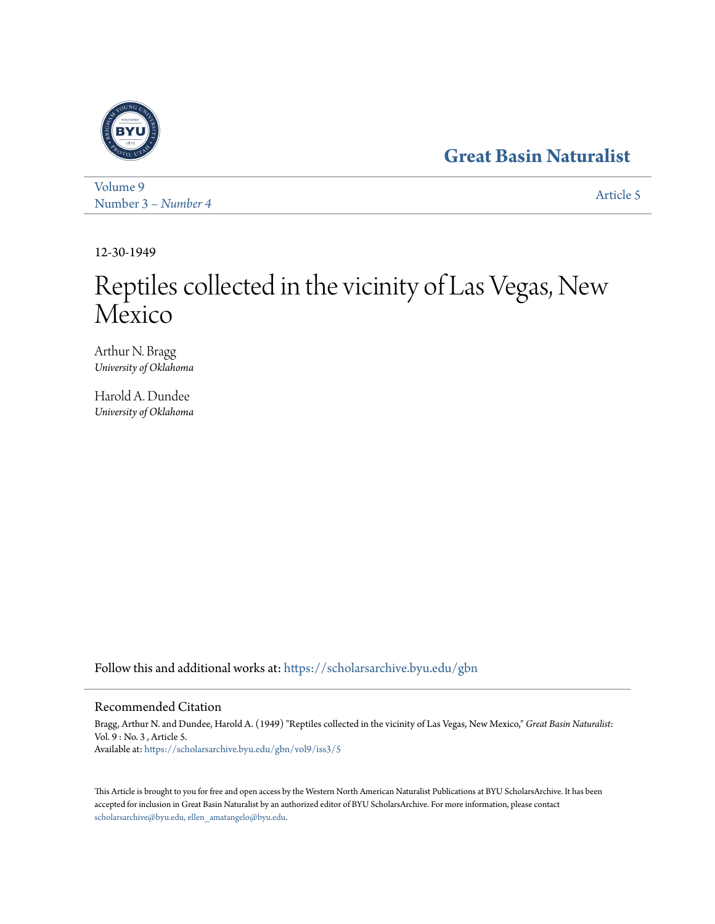# **[Great Basin Naturalist](https://scholarsarchive.byu.edu/gbn?utm_source=scholarsarchive.byu.edu%2Fgbn%2Fvol9%2Fiss3%2F5&utm_medium=PDF&utm_campaign=PDFCoverPages)**



[Volume 9](https://scholarsarchive.byu.edu/gbn/vol9?utm_source=scholarsarchive.byu.edu%2Fgbn%2Fvol9%2Fiss3%2F5&utm_medium=PDF&utm_campaign=PDFCoverPages) Number 3 [– Number 4](https://scholarsarchive.byu.edu/gbn/vol9/iss3?utm_source=scholarsarchive.byu.edu%2Fgbn%2Fvol9%2Fiss3%2F5&utm_medium=PDF&utm_campaign=PDFCoverPages) and 1980 and 1980 and 1980 and 1980 and 1980 and 1980 and 1980 and 1980 and 1980 and 1980 and 1980 and 1980 and 1980 and 1980 and 1980 and 1980 and 1980 and 1980 and 1980 and 1980 and 1980 and 1980 and

12-30-1949

# Reptiles collected in the vicinity of Las Vegas, New Mexico

Arthur N. Bragg *University of Oklahoma*

Harold A. Dundee *University of Oklahoma*

Follow this and additional works at: [https://scholarsarchive.byu.edu/gbn](https://scholarsarchive.byu.edu/gbn?utm_source=scholarsarchive.byu.edu%2Fgbn%2Fvol9%2Fiss3%2F5&utm_medium=PDF&utm_campaign=PDFCoverPages)

# Recommended Citation

Bragg, Arthur N. and Dundee, Harold A. (1949) "Reptiles collected in the vicinity of Las Vegas, New Mexico," *Great Basin Naturalist*: Vol. 9 : No. 3 , Article 5. Available at: [https://scholarsarchive.byu.edu/gbn/vol9/iss3/5](https://scholarsarchive.byu.edu/gbn/vol9/iss3/5?utm_source=scholarsarchive.byu.edu%2Fgbn%2Fvol9%2Fiss3%2F5&utm_medium=PDF&utm_campaign=PDFCoverPages)

This Article is brought to you for free and open access by the Western North American Naturalist Publications at BYU ScholarsArchive. It has been accepted for inclusion in Great Basin Naturalist by an authorized editor of BYU ScholarsArchive. For more information, please contact [scholarsarchive@byu.edu, ellen\\_amatangelo@byu.edu.](mailto:scholarsarchive@byu.edu,%20ellen_amatangelo@byu.edu)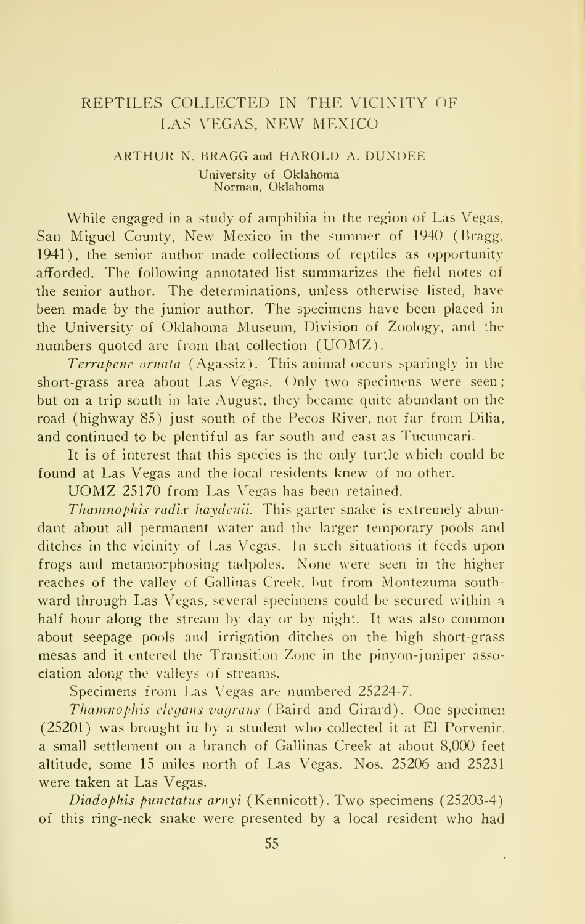# REPTILES COLLECTED IN THE VICINITY OF LAS VEGAS, NEW MEXICO

#### ARTHUR N. BRAGG and HAROLD A. DUNDEE University of Oklahoma Norman, Oklahoma

While engaged in a study of amphibia in the region of Las Vegas, San Miguel County, New Mexico in the summer of 1940 (Bragg, 1941), the senior author made collections of reptiles as opportunity afforded. The following annotated list summarizes the field notes of the senior author. The determinations, unless otherwise listed, have been made by the junior author. The specimens have been placed in the University of Oklahoma Museum, Division of Zoology, and the numbers quoted are from that collection (UOMZ).

Terrapene ornata (Agassiz). This animal occurs sparingly in the short-grass area about Las Vegas. Only two specimens were seen; but on a trip south in late August, they became quite abundant on the road (highway 85) just south of the Pecos River, not far from Dilia, and continued to be plentiful as far south and east as Tucumcari.

It is of interest that this species is the only turtle which could be found at Las Vegas and the local residents knew of no other. UOMZ <sup>25170</sup> from Las Vegas has been retained.

Thamnophis radix haydcnii. This garter snake is extremely abundant about all permanent water and the larger temporary pools and ditches in the vicinity of Las Vegas. In such situations it feeds upon frogs and metamorphosing tadpoles. None were seen in the higher reaches of the valley of Gallinas Creek, but from Montezuma southward through Las Vegas, several specimens could be secured within <sup>a</sup> half hour along the stream by day or by night. It was also common about seepage pools and irrigation ditches on the high short-grass mesas and it entered the Transition Zone in the pinyon-juniper association along the valleys of streams.

Specimens from Las Vegas are numbered 25224-7.

Thamnophis elcgans vagrans (Baird and Girard). One specimen (25201) was brought in by a student who collected it at El Porvenir, a small settlement on a branch of Gallinas Creek at about 8,000 feet altitude, some 15 miles north of Las Vegas. Nos. 25206 and 25231 were taken at Las Vegas.

Diadophis punctatus arnyi (Kennicott). Two specimens (25203-4) of this ring-neck snake were presented by a local resident who had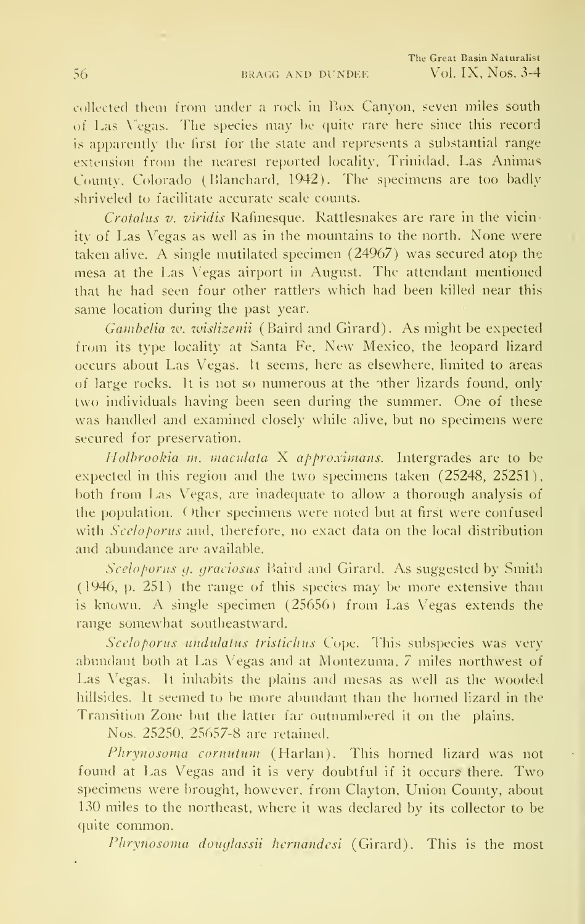collected them from under a rock in Box Canyon, seven miles south of Las Vegas. The species may be quite rare here since this record is apparently the hrst for the state and represents a substantial range extension from the nearest reported locality, Trinidad, Las Animas County, Colorado (Blanchard. 1942). The specimens are too badly shriveled to facilitate accurate scale counts.

Crotalus v. viridis Rafinesque. Rattlesnakes are rare in the vicinity of Las Vegas as well as in the mountains to the north. None were taken alive. A single mutilated specimen (24967) was secured atop the mesa at the Las Vegas airport in August. The attendant mentioned that he had seen four other rattlers which had been killed near this same location during the past year.

Gambelia tv. wislizenii (Baird and Girard). As might be expected from its type locality at Santa Fe, New Mexico, the leopard lizard occurs about Las Vegas. It seems, here as elsewhere, limited to areas of large rocks. It is not so numerous at the other lizards found, only two individuals having been seen during the summer. One of these was handled and examined closely while alive, but no specimens were secured for preservation.

Holbrookia  $m$ , maculata X approximans. Intergrades are to be expected in this region and the two specimens taken (25248, 25251), both from Las Vegas, are inadequate to allow a thorough analysis of the population. C)ther specimens were noted but at first were confused with Sceloporus and, therefore, no exact data on the local distribution and abundance are available.

Sceloporus g. graciosus Baird and Girard. As suggested by Smith (1946, p. 251) the range of this species may be more extensive than is known. A single specimen (25656) from Las Vegas extends the range somewhat southeastward.

Sceloporus undulatus tristichus Cope. This subspecies was very abundant both at Las Vegas and at Montezuma. 7 miles northwest of Las Vegas. It inhabits the plains and mesas as well as the wooded hillsides. It seemed to be more abundant than the horned lizard in the Transition Zone but the latter far outnumbered it on the plains.

Nos. 25250, 25657-8 are retained.

Phrynosoma cornutum (Harlan). This horned lizard was not found at Las Vegas and it is very doubtful if it occurs there. Two specimens were brought, however, from Clayton, Union County, about 130 miles to the northeast, where it was declared by its collector to be quite common.

Phrynosoma douglassii hernandesi (Girard). This is the most